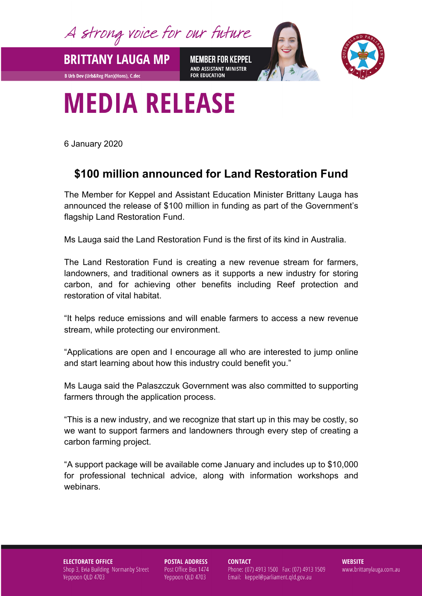A strong voice for our future

**BRITTANY LAUGA MP** 

**B Urb Dev (Urb&Reg Plan)(Hons), C.dec** 

**MEMBER FOR KEPPEL** AND ASSISTANT MINISTER **FOR EDUCATION** 



## **MEDIA RELEASE**

6 January 2020

## **\$100 million announced for Land Restoration Fund**

The Member for Keppel and Assistant Education Minister Brittany Lauga has announced the release of \$100 million in funding as part of the Government's flagship Land Restoration Fund.

Ms Lauga said the Land Restoration Fund is the first of its kind in Australia.

The Land Restoration Fund is creating a new revenue stream for farmers, landowners, and traditional owners as it supports a new industry for storing carbon, and for achieving other benefits including Reef protection and restoration of vital habitat.

"It helps reduce emissions and will enable farmers to access a new revenue stream, while protecting our environment.

"Applications are open and I encourage all who are interested to jump online and start learning about how this industry could benefit you."

Ms Lauga said the Palaszczuk Government was also committed to supporting farmers through the application process.

"This is a new industry, and we recognize that start up in this may be costly, so we want to support farmers and landowners through every step of creating a carbon farming project.

"A support package will be available come January and includes up to \$10,000 for professional technical advice, along with information workshops and webinars.

## **ELECTORATE OFFICE** Shop 3, Evia Building Normanby Street Yeppoon QLD 4703

**POSTAL ADDRESS** Post Office Box 1474 Yeppoon QLD 4703

**CONTACT** 

Phone: (07) 4913 1500 Fax: (07) 4913 1509 Email: keppel@parliament.qld.gov.au

**WEBSITE** www.brittanylauga.com.au